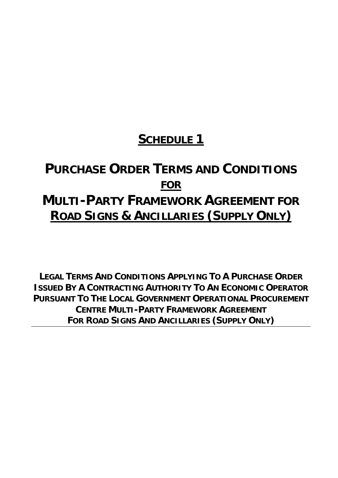## **SCHEDULE 1**

# **PURCHASE ORDER TERMS AND CONDITIONS FOR MULTI-PARTY FRAMEWORK AGREEMENT FOR ROAD SIGNS & ANCILLARIES (SUPPLY ONLY)**

**LEGAL TERMS AND CONDITIONS APPLYING TO A PURCHASE ORDER ISSUED BY A CONTRACTING AUTHORITY TO AN ECONOMIC OPERATOR PURSUANT TO THE LOCAL GOVERNMENT OPERATIONAL PROCUREMENT CENTRE MULTI-PARTY FRAMEWORK AGREEMENT FOR ROAD SIGNS AND ANCILLARIES (SUPPLY ONLY)**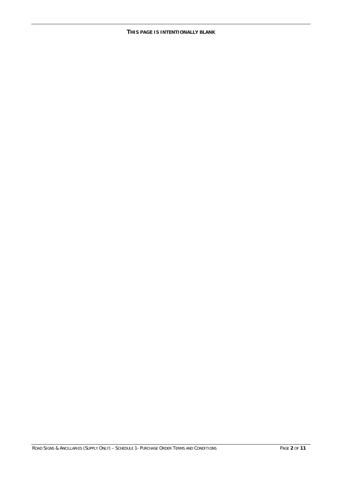**THIS PAGE IS INTENTIONALLY BLANK**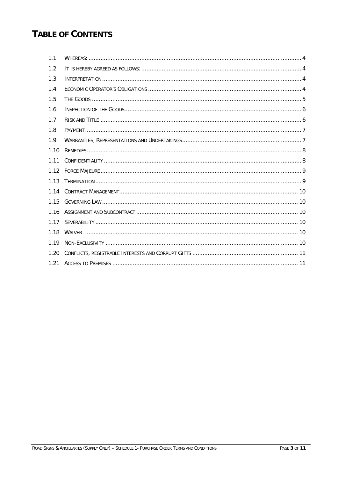### **TABLE OF CONTENTS**

| 1.1   |  |
|-------|--|
| 1.2   |  |
| 1.3   |  |
| 1.4   |  |
| 1.5   |  |
| 1.6   |  |
| 1.7   |  |
| 1.8   |  |
| 1.9   |  |
| 1.10  |  |
| 1.11  |  |
| 1 1 2 |  |
| 1.13  |  |
| 1 1 4 |  |
| 1.15  |  |
| 1.16  |  |
| 1.17  |  |
| 1.18  |  |
| 1.19  |  |
| 1.20  |  |
| 1.21  |  |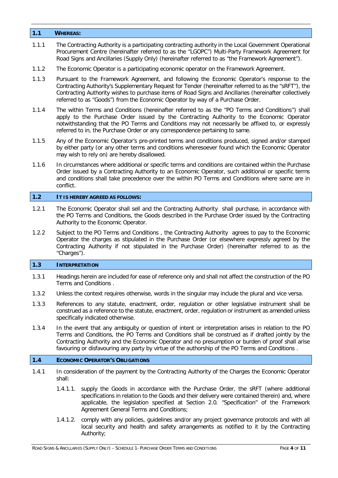#### <span id="page-3-0"></span>**1.1 WHEREAS:**

- 1.1.1 The Contracting Authority is a participating contracting authority in the Local Government Operational Procurement Centre (hereinafter referred to as the "LGOPC") Multi-Party Framework Agreement for Road Signs and Ancillaries (Supply Only) (hereinafter referred to as "the Framework Agreement").
- 1.1.2 The Economic Operator is a participating economic operator on the Framework Agreement.
- 1.1.3 Pursuant to the Framework Agreement, and following the Economic Operator's response to the Contracting Authority's Supplementary Request for Tender (hereinafter referred to as the "sRFT"), the Contracting Authority wishes to purchase items of Road Signs and Ancillaries (hereinafter collectively referred to as "Goods") from the Economic Operator by way of a Purchase Order.
- 1.1.4 The within Terms and Conditions (hereinafter referred to as the "PO Terms and Conditions") shall apply to the Purchase Order issued by the Contracting Authority to the Economic Operator notwithstanding that the PO Terms and Conditions may not necessarily be affixed to, or expressly referred to in, the Purchase Order or any correspondence pertaining to same.
- 1.1.5 Any of the Economic Operator's pre-printed terms and conditions produced, signed and/or stamped by either party (or any other terms and conditions wheresoever found which the Economic Operator may wish to rely on) are hereby disallowed.
- 1.1.6 In circumstances where additional or specific terms and conditions are contained within the Purchase Order issued by a Contracting Authority to an Economic Operator, such additional or specific terms and conditions shall take precedence over the within PO Terms and Conditions where same are in conflict.

#### <span id="page-3-1"></span>**1.2 IT IS HEREBY AGREED AS FOLLOWS:**

- 1.2.1 The Economic Operator shall sell and the Contracting Authority shall purchase, in accordance with the PO Terms and Conditions, the Goods described in the Purchase Order issued by the Contracting Authority to the Economic Operator.
- 1.2.2 Subject to the PO Terms and Conditions , the Contracting Authority agrees to pay to the Economic Operator the charges as stipulated in the Purchase Order (or elsewhere expressly agreed by the Contracting Authority if not stipulated in the Purchase Order) (hereinafter referred to as the "Charges").

#### <span id="page-3-2"></span>**1.3 INTERPRETATION**

- 1.3.1 Headings herein are included for ease of reference only and shall not affect the construction of the PO Terms and Conditions .
- 1.3.2 Unless the context requires otherwise, words in the singular may include the plural and vice versa.
- 1.3.3 References to any statute, enactment, order, regulation or other legislative instrument shall be construed as a reference to the statute, enactment, order, regulation or instrument as amended unless specifically indicated otherwise.
- 1.3.4 In the event that any ambiguity or question of intent or interpretation arises in relation to the PO Terms and Conditions, the PO Terms and Conditions shall be construed as if drafted jointly by the Contracting Authority and the Economic Operator and no presumption or burden of proof shall arise favouring or disfavouring any party by virtue of the authorship of the PO Terms and Conditions .

#### <span id="page-3-3"></span>**1.4 ECONOMIC OPERATOR'S OBLIGATIONS**

- 1.4.1 In consideration of the payment by the Contracting Authority of the Charges the Economic Operator shall:
	- 1.4.1.1. supply the Goods in accordance with the Purchase Order, the sRFT (where additional specifications in relation to the Goods and their delivery were contained therein) and, where applicable, the legislation specified at Section 2.0. "Specification" of the Framework Agreement General Terms and Conditions;
	- 1.4.1.2. comply with any policies, guidelines and/or any project governance protocols and with all local security and health and safety arrangements as notified to it by the Contracting Authority;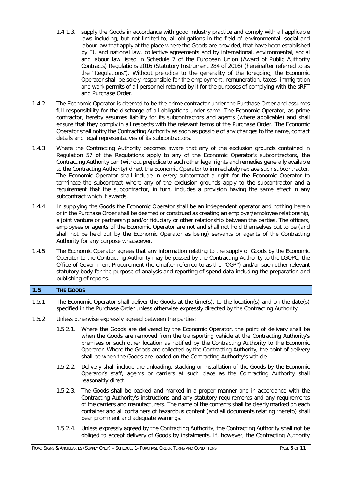- 1.4.1.3. supply the Goods in accordance with good industry practice and comply with all applicable laws including, but not limited to, all obligations in the field of environmental, social and labour law that apply at the place where the Goods are provided, that have been established by EU and national law, collective agreements and by international, environmental, social and labour law listed in Schedule 7 of the European Union (Award of Public Authority Contracts) Regulations 2016 (Statutory Instrument 284 of 2016) (hereinafter referred to as the "Regulations"). Without prejudice to the generality of the foregoing, the Economic Operator shall be solely responsible for the employment, remuneration, taxes, immigration and work permits of all personnel retained by it for the purposes of complying with the sRFT and Purchase Order.
- 1.4.2 The Economic Operator is deemed to be the prime contractor under the Purchase Order and assumes full responsibility for the discharge of all obligations under same. The Economic Operator, as prime contractor, hereby assumes liability for its subcontractors and agents (where applicable) and shall ensure that they comply in all respects with the relevant terms of the Purchase Order. The Economic Operator shall notify the Contracting Authority as soon as possible of any changes to the name, contact details and legal representatives of its subcontractors.
- 1.4.3 Where the Contracting Authority becomes aware that any of the exclusion grounds contained in Regulation 57 of the Regulations apply to any of the Economic Operator's subcontractors, the Contracting Authority can (without prejudice to such other legal rights and remedies generally available to the Contracting Authority) direct the Economic Operator to immediately replace such subcontractor. The Economic Operator shall include in every subcontract a right for the Economic Operator to terminate the subcontract where any of the exclusion grounds apply to the subcontractor and a requirement that the subcontractor, in turn, includes a provision having the same effect in any subcontract which it awards.
- 1.4.4 In supplying the Goods the Economic Operator shall be an independent operator and nothing herein or in the Purchase Order shall be deemed or construed as creating an employer/employee relationship, a joint venture or partnership and/or fiduciary or other relationship between the parties. The officers, employees or agents of the Economic Operator are not and shall not hold themselves out to be (and shall not be held out by the Economic Operator as being) servants or agents of the Contracting Authority for any purpose whatsoever.
- 1.4.5 The Economic Operator agrees that any information relating to the supply of Goods by the Economic Operator to the Contracting Authority may be passed by the Contracting Authority to the LGOPC, the Office of Government Procurement (hereinafter referred to as the "OGP") and/or such other relevant statutory body for the purpose of analysis and reporting of spend data including the preparation and publishing of reports.

#### <span id="page-4-0"></span>**1.5 THE GOODS**

- 1.5.1 The Economic Operator shall deliver the Goods at the time(s), to the location(s) and on the date(s) specified in the Purchase Order unless otherwise expressly directed by the Contracting Authority.
- 1.5.2 Unless otherwise expressly agreed between the parties:
	- 1.5.2.1. Where the Goods are delivered by the Economic Operator, the point of delivery shall be when the Goods are removed from the transporting vehicle at the Contracting Authority's premises or such other location as notified by the Contracting Authority to the Economic Operator. Where the Goods are collected by the Contracting Authority, the point of delivery shall be when the Goods are loaded on the Contracting Authority's vehicle
	- 1.5.2.2. Delivery shall include the unloading, stacking or installation of the Goods by the Economic Operator's staff, agents or carriers at such place as the Contracting Authority shall reasonably direct.
	- 1.5.2.3. The Goods shall be packed and marked in a proper manner and in accordance with the Contracting Authority's instructions and any statutory requirements and any requirements of the carriers and manufacturers. The name of the contents shall be clearly marked on each container and all containers of hazardous content (and all documents relating thereto) shall bear prominent and adequate warnings.
	- 1.5.2.4. Unless expressly agreed by the Contracting Authority, the Contracting Authority shall not be obliged to accept delivery of Goods by instalments. If, however, the Contracting Authority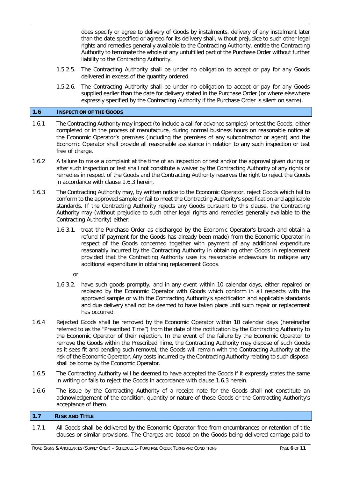does specify or agree to delivery of Goods by instalments, delivery of any instalment later than the date specified or agreed for its delivery shall, without prejudice to such other legal rights and remedies generally available to the Contracting Authority, entitle the Contracting Authority to terminate the whole of any unfulfilled part of the Purchase Order without further liability to the Contracting Authority.

- 1.5.2.5. The Contracting Authority shall be under no obligation to accept or pay for any Goods delivered in excess of the quantity ordered
- 1.5.2.6. The Contracting Authority shall be under no obligation to accept or pay for any Goods supplied earlier than the date for delivery stated in the Purchase Order (or where elsewhere expressly specified by the Contracting Authority if the Purchase Order is silent on same).

#### <span id="page-5-0"></span>**1.6 INSPECTION OF THE GOODS**

- 1.6.1 The Contracting Authority may inspect (to include a call for advance samples) or test the Goods, either completed or in the process of manufacture, during normal business hours on reasonable notice at the Economic Operator's premises (including the premises of any subcontractor or agent) and the Economic Operator shall provide all reasonable assistance in relation to any such inspection or test free of charge.
- 1.6.2 A failure to make a complaint at the time of an inspection or test and/or the approval given during or after such inspection or test shall not constitute a waiver by the Contracting Authority of any rights or remedies in respect of the Goods and the Contracting Authority reserves the right to reject the Goods in accordance with clause 1.6.3 herein.
- 1.6.3 The Contracting Authority may, by written notice to the Economic Operator, reject Goods which fail to conform to the approved sample or fail to meet the Contracting Authority's specification and applicable standards. If the Contracting Authority rejects any Goods pursuant to this clause, the Contracting Authority may (without prejudice to such other legal rights and remedies generally available to the Contracting Authority) either:
	- 1.6.3.1. treat the Purchase Order as discharged by the Economic Operator's breach and obtain a refund (if payment for the Goods has already been made) from the Economic Operator in respect of the Goods concerned together with payment of any additional expenditure reasonably incurred by the Contracting Authority in obtaining other Goods in replacement provided that the Contracting Authority uses its reasonable endeavours to mitigate any additional expenditure in obtaining replacement Goods.
		- or
	- 1.6.3.2. have such goods promptly, and in any event within 10 calendar days, either repaired or replaced by the Economic Operator with Goods which conform in all respects with the approved sample or with the Contracting Authority's specification and applicable standards and due delivery shall not be deemed to have taken place until such repair or replacement has occurred.
- 1.6.4 Rejected Goods shall be removed by the Economic Operator within 10 calendar days (hereinafter referred to as the "Prescribed Time") from the date of the notification by the Contracting Authority to the Economic Operator of their rejection. In the event of the failure by the Economic Operator to remove the Goods within the Prescribed Time, the Contracting Authority may dispose of such Goods as it sees fit and pending such removal, the Goods will remain with the Contracting Authority at the risk of the Economic Operator. Any costs incurred by the Contracting Authority relating to such disposal shall be borne by the Economic Operator.
- 1.6.5 The Contracting Authority will be deemed to have accepted the Goods if it expressly states the same in writing or fails to reject the Goods in accordance with clause 1.6.3 herein.
- 1.6.6 The issue by the Contracting Authority of a receipt note for the Goods shall not constitute an acknowledgement of the condition, quantity or nature of those Goods or the Contracting Authority's acceptance of them.

#### <span id="page-5-1"></span>**1.7 RISK AND TITLE**

1.7.1 All Goods shall be delivered by the Economic Operator free from encumbrances or retention of title clauses or similar provisions. The Charges are based on the Goods being delivered carriage paid to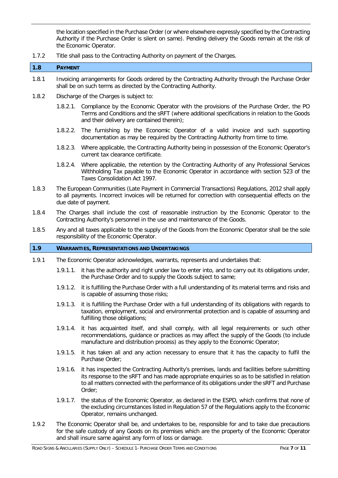the location specified in the Purchase Order (or where elsewhere expressly specified by the Contracting Authority if the Purchase Order is silent on same). Pending delivery the Goods remain at the risk of the Economic Operator.

1.7.2 Title shall pass to the Contracting Authority on payment of the Charges.

## <span id="page-6-0"></span>**1.8 PAYMENT**

- 1.8.1 Invoicing arrangements for Goods ordered by the Contracting Authority through the Purchase Order shall be on such terms as directed by the Contracting Authority.
- 1.8.2 Discharge of the Charges is subject to:
	- 1.8.2.1. Compliance by the Economic Operator with the provisions of the Purchase Order, the PO Terms and Conditions and the sRFT (where additional specifications in relation to the Goods and their delivery are contained therein);
	- 1.8.2.2. The furnishing by the Economic Operator of a valid invoice and such supporting documentation as may be required by the Contracting Authority from time to time.
	- 1.8.2.3. Where applicable, the Contracting Authority being in possession of the Economic Operator's current tax clearance certificate.
	- 1.8.2.4. Where applicable, the retention by the Contracting Authority of any Professional Services Withholding Tax payable to the Economic Operator in accordance with section 523 of the Taxes Consolidation Act 1997.
- 1.8.3 The European Communities (Late Payment in Commercial Transactions) Regulations, 2012 shall apply to all payments. Incorrect invoices will be returned for correction with consequential effects on the due date of payment.
- 1.8.4 The Charges shall include the cost of reasonable instruction by the Economic Operator to the Contracting Authority's personnel in the use and maintenance of the Goods.
- 1.8.5 Any and all taxes applicable to the supply of the Goods from the Economic Operator shall be the sole responsibility of the Economic Operator.

#### <span id="page-6-1"></span>**1.9 WARRANTIES, REPRESENTATIONS AND UNDERTAKINGS**

- 1.9.1 The Economic Operator acknowledges, warrants, represents and undertakes that:
	- 1.9.1.1. it has the authority and right under law to enter into, and to carry out its obligations under, the Purchase Order and to supply the Goods subject to same;
	- 1.9.1.2. it is fulfilling the Purchase Order with a full understanding of its material terms and risks and is capable of assuming those risks;
	- 1.9.1.3. it is fulfilling the Purchase Order with a full understanding of its obligations with regards to taxation, employment, social and environmental protection and is capable of assuming and fulfilling those obligations;
	- 1.9.1.4. it has acquainted itself, and shall comply, with all legal requirements or such other recommendations, guidance or practices as may affect the supply of the Goods (to include manufacture and distribution process) as they apply to the Economic Operator;
	- 1.9.1.5. it has taken all and any action necessary to ensure that it has the capacity to fulfil the Purchase Order;
	- 1.9.1.6. it has inspected the Contracting Authority's premises, lands and facilities before submitting its response to the sRFT and has made appropriate enquiries so as to be satisfied in relation to all matters connected with the performance of its obligations under the sRFT and Purchase Order;
	- 1.9.1.7. the status of the Economic Operator, as declared in the ESPD, which confirms that none of the excluding circumstances listed in Regulation 57 of the Regulations apply to the Economic Operator, remains unchanged.
- 1.9.2 The Economic Operator shall be, and undertakes to be, responsible for and to take due precautions for the safe custody of any Goods on its premises which are the property of the Economic Operator and shall insure same against any form of loss or damage.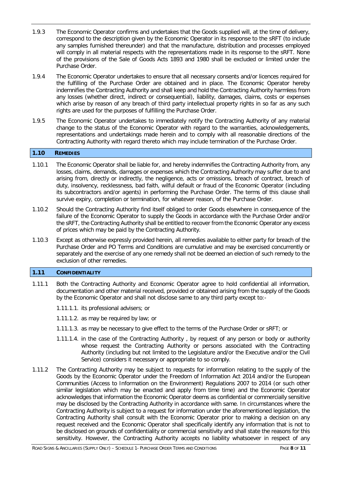- 1.9.3 The Economic Operator confirms and undertakes that the Goods supplied will, at the time of delivery, correspond to the description given by the Economic Operator in its response to the sRFT (to include any samples furnished thereunder) and that the manufacture, distribution and processes employed will comply in all material respects with the representations made in its response to the sRFT. None of the provisions of the Sale of Goods Acts 1893 and 1980 shall be excluded or limited under the Purchase Order.
- 1.9.4 The Economic Operator undertakes to ensure that all necessary consents and/or licences required for the fulfilling of the Purchase Order are obtained and in place. The Economic Operator hereby indemnifies the Contracting Authority and shall keep and hold the Contracting Authority harmless from any losses (whether direct, indirect or consequential), liability, damages, claims, costs or expenses which arise by reason of any breach of third party intellectual property rights in so far as any such rights are used for the purposes of fulfilling the Purchase Order.
- 1.9.5 The Economic Operator undertakes to immediately notify the Contracting Authority of any material change to the status of the Economic Operator with regard to the warranties, acknowledgements, representations and undertakings made herein and to comply with all reasonable directions of the Contracting Authority with regard thereto which may include termination of the Purchase Order.

#### <span id="page-7-0"></span>**1.10 REMEDIES**

- 1.10.1 The Economic Operator shall be liable for, and hereby indemnifies the Contracting Authority from, any losses, claims, demands, damages or expenses which the Contracting Authority may suffer due to and arising from, directly or indirectly, the negligence, acts or omissions, breach of contract, breach of duty, insolvency, recklessness, bad faith, wilful default or fraud of the Economic Operator (including its subcontractors and/or agents) in performing the Purchase Order. The terms of this clause shall survive expiry, completion or termination, for whatever reason, of the Purchase Order.
- 1.10.2 Should the Contracting Authority find itself obliged to order Goods elsewhere in consequence of the failure of the Economic Operator to supply the Goods in accordance with the Purchase Order and/or the sRFT, the Contracting Authority shall be entitled to recover from the Economic Operator any excess of prices which may be paid by the Contracting Authority.
- 1.10.3 Except as otherwise expressly provided herein, all remedies available to either party for breach of the Purchase Order and PO Terms and Conditions are cumulative and may be exercised concurrently or separately and the exercise of any one remedy shall not be deemed an election of such remedy to the exclusion of other remedies.

#### <span id="page-7-1"></span>**1.11 CONFIDENTIALITY**

- 1.11.1 Both the Contracting Authority and Economic Operator agree to hold confidential all information, documentation and other material received, provided or obtained arising from the supply of the Goods by the Economic Operator and shall not disclose same to any third party except to:-
	- 1.11.1.1. its professional advisers; or
	- 1.11.1.2. as may be required by law; or
	- 1.11.1.3. as may be necessary to give effect to the terms of the Purchase Order or sRFT; or
	- 1.11.1.4. in the case of the Contracting Authority , by request of any person or body or authority whose request the Contracting Authority or persons associated with the Contracting Authority (including but not limited to the Legislature and/or the Executive and/or the Civil Service) considers it necessary or appropriate to so comply.
- 1.11.2 The Contracting Authority may be subject to requests for information relating to the supply of the Goods by the Economic Operator under the Freedom of Information Act 2014 and/or the European Communities (Access to Information on the Environment) Regulations 2007 to 2014 (or such other similar legislation which may be enacted and apply from time time) and the Economic Operator acknowledges that information the Economic Operator deems as confidential or commercially sensitive may be disclosed by the Contracting Authority in accordance with same. In circumstances where the Contracting Authority is subject to a request for information under the aforementioned legislation, the Contracting Authority shall consult with the Economic Operator prior to making a decision on any request received and the Economic Operator shall specifically identify any information that is not to be disclosed on grounds of confidentiality or commercial sensitivity and shall state the reasons for this sensitivity. However, the Contracting Authority accepts no liability whatsoever in respect of any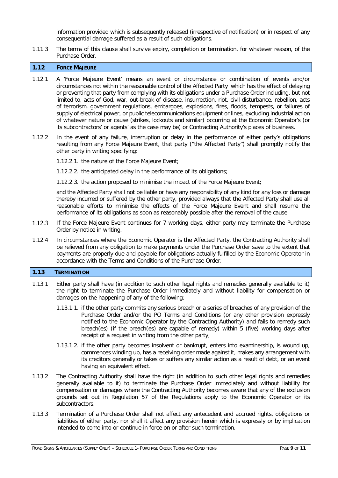information provided which is subsequently released (irrespective of notification) or in respect of any consequential damage suffered as a result of such obligations.

1.11.3 The terms of this clause shall survive expiry, completion or termination, for whatever reason, of the Purchase Order.

#### <span id="page-8-0"></span>**1.12 FORCE MAJEURE**

- 1.12.1 A 'Force Majeure Event' means an event or circumstance or combination of events and/or circumstances not within the reasonable control of the Affected Party which has the effect of delaying or preventing that party from complying with its obligations under a Purchase Order including, but not limited to, acts of God, war, out-break of disease, insurrection, riot, civil disturbance, rebellion, acts of terrorism, government regulations, embargoes, explosions, fires, floods, tempests, or failures of supply of electrical power, or public telecommunications equipment or lines, excluding industrial action of whatever nature or cause (strikes, lockouts and similar) occurring at the Economic Operator's (or its subcontractors' or agents' as the case may be) or Contracting Authority's places of business.
- 1.12.2 In the event of any failure, interruption or delay in the performance of either party's obligations resulting from any Force Majeure Event, that party ("the Affected Party") shall promptly notify the other party in writing specifying:
	- 1.12.2.1. the nature of the Force Majeure Event;
	- 1.12.2.2. the anticipated delay in the performance of its obligations;
	- 1.12.2.3. the action proposed to minimise the impact of the Force Majeure Event;

and the Affected Party shall not be liable or have any responsibility of any kind for any loss or damage thereby incurred or suffered by the other party, provided always that the Affected Party shall use all reasonable efforts to minimise the effects of the Force Majeure Event and shall resume the performance of its obligations as soon as reasonably possible after the removal of the cause.

- 1.12.3 If the Force Majeure Event continues for 7 working days, either party may terminate the Purchase Order by notice in writing.
- 1.12.4 In circumstances where the Economic Operator is the Affected Party, the Contracting Authority shall be relieved from any obligation to make payments under the Purchase Order save to the extent that payments are properly due and payable for obligations actually fulfilled by the Economic Operator in accordance with the Terms and Conditions of the Purchase Order.

#### <span id="page-8-1"></span>**1.13 TERMINATION**

- 1.13.1 Either party shall have (in addition to such other legal rights and remedies generally available to it) the right to terminate the Purchase Order immediately and without liability for compensation or damages on the happening of any of the following:
	- 1.13.1.1. if the other party commits any serious breach or a series of breaches of any provision of the Purchase Order and/or the PO Terms and Conditions (or any other provision expressly notified to the Economic Operator by the Contracting Authority) and fails to remedy such breach(es) (if the breach(es) are capable of remedy) within 5 (five) working days after receipt of a request in writing from the other party;
	- 1.13.1.2. if the other party becomes insolvent or bankrupt, enters into examinership, is wound up, commences winding up, has a receiving order made against it, makes any arrangement with its creditors generally or takes or suffers any similar action as a result of debt, or an event having an equivalent effect.
- 1.13.2 The Contracting Authority shall have the right (in addition to such other legal rights and remedies generally available to it) to terminate the Purchase Order immediately and without liability for compensation or damages where the Contracting Authority becomes aware that any of the exclusion grounds set out in Regulation 57 of the Regulations apply to the Economic Operator or its subcontractors.
- 1.13.3 Termination of a Purchase Order shall not affect any antecedent and accrued rights, obligations or liabilities of either party, nor shall it affect any provision herein which is expressly or by implication intended to come into or continue in force on or after such termination.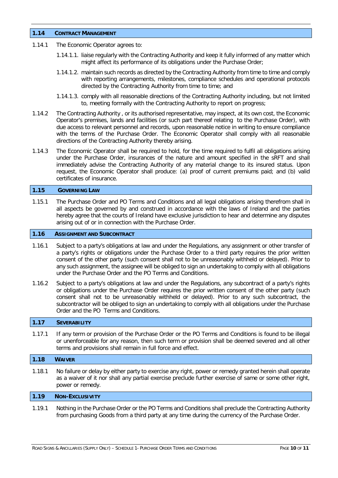#### <span id="page-9-0"></span>**1.14 CONTRACT MANAGEMENT**

- 1.14.1 The Economic Operator agrees to:
	- 1.14.1.1. liaise regularly with the Contracting Authority and keep it fully informed of any matter which might affect its performance of its obligations under the Purchase Order;
	- 1.14.1.2. maintain such records as directed by the Contracting Authority from time to time and comply with reporting arrangements, milestones, compliance schedules and operational protocols directed by the Contracting Authority from time to time; and
	- 1.14.1.3. comply with all reasonable directions of the Contracting Authority including, but not limited to, meeting formally with the Contracting Authority to report on progress;
- 1.14.2 The Contracting Authority , or its authorised representative, may inspect, at its own cost, the Economic Operator's premises, lands and facilities (or such part thereof relating to the Purchase Order), with due access to relevant personnel and records, upon reasonable notice in writing to ensure compliance with the terms of the Purchase Order. The Economic Operator shall comply with all reasonable directions of the Contracting Authority thereby arising.
- 1.14.3 The Economic Operator shall be required to hold, for the time required to fulfil all obligations arising under the Purchase Order, insurances of the nature and amount specified in the sRFT and shall immediately advise the Contracting Authority of any material change to its insured status. Upon request, the Economic Operator shall produce: (a) proof of current premiums paid; and (b) valid certificates of insurance.

#### <span id="page-9-1"></span>**1.15 GOVERNING LAW**

1.15.1 The Purchase Order and PO Terms and Conditions and all legal obligations arising therefrom shall in all aspects be governed by and construed in accordance with the laws of Ireland and the parties hereby agree that the courts of Ireland have exclusive jurisdiction to hear and determine any disputes arising out of or in connection with the Purchase Order.

#### <span id="page-9-2"></span>**1.16 ASSIGNMENT AND SUBCONTRACT**

- 1.16.1 Subject to a party's obligations at law and under the Regulations, any assignment or other transfer of a party's rights or obligations under the Purchase Order to a third party requires the prior written consent of the other party (such consent shall not to be unreasonably withheld or delayed). Prior to any such assignment, the assignee will be obliged to sign an undertaking to comply with all obligations under the Purchase Order and the PO Terms and Conditions.
- 1.16.2 Subject to a party's obligations at law and under the Regulations, any subcontract of a party's rights or obligations under the Purchase Order requires the prior written consent of the other party (such consent shall not to be unreasonably withheld or delayed). Prior to any such subcontract, the subcontractor will be obliged to sign an undertaking to comply with all obligations under the Purchase Order and the PO Terms and Conditions.

#### <span id="page-9-3"></span>**1.17 SEVERABILITY**

1.17.1 If any term or provision of the Purchase Order or the PO Terms and Conditions is found to be illegal or unenforceable for any reason, then such term or provision shall be deemed severed and all other terms and provisions shall remain in full force and effect.

#### <span id="page-9-4"></span>**1.18 WAIVER**

1.18.1 No failure or delay by either party to exercise any right, power or remedy granted herein shall operate as a waiver of it nor shall any partial exercise preclude further exercise of same or some other right, power or remedy.

#### <span id="page-9-5"></span>**1.19 NON-EXCLUSIVITY**

1.19.1 Nothing in the Purchase Order or the PO Terms and Conditions shall preclude the Contracting Authority from purchasing Goods from a third party at any time during the currency of the Purchase Order.